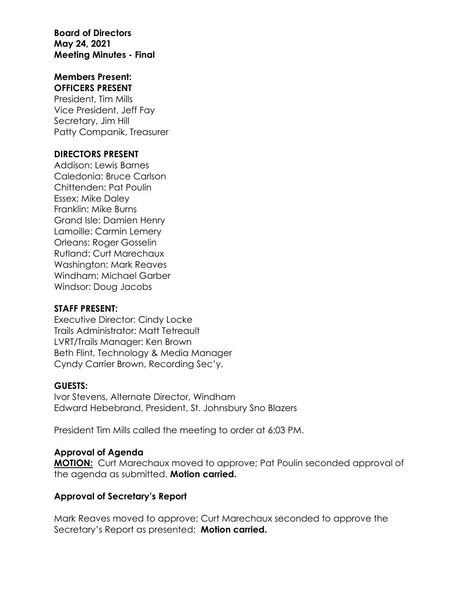**Board of Directors May 24, 2021 Meeting Minutes - Final**

#### **Members Present: OFFICERS PRESENT**

President, Tim Mills Vice President, Jeff Fay Secretary, Jim Hill Patty Companik, Treasurer

#### **DIRECTORS PRESENT**

Addison: Lewis Barnes Caledonia: Bruce Carlson Chittenden: Pat Poulin Essex: Mike Daley Franklin: Mike Burns Grand Isle: Damien Henry Lamoille: Carmin Lemery Orleans: Roger Gosselin Rutland: Curt Marechaux Washington: Mark Reaves Windham: Michael Garber Windsor: Doug Jacobs

#### **STAFF PRESENT:**

Executive Director: Cindy Locke Trails Administrator: Matt Tetreault LVRT/Trails Manager: Ken Brown Beth Flint, Technology & Media Manager Cyndy Carrier Brown, Recording Sec'y.

#### **GUESTS:**

Ivor Stevens, Alternate Director, Windham Edward Hebebrand, President, St. Johnsbury Sno Blazers

President Tim Mills called the meeting to order at 6:03 PM.

#### **Approval of Agenda**

**MOTION:** Curt Marechaux moved to approve; Pat Poulin seconded approval of the agenda as submitted. **Motion carried.**

#### **Approval of Secretary's Report**

Mark Reaves moved to approve; Curt Marechaux seconded to approve the Secretary's Report as presented: **Motion carried.**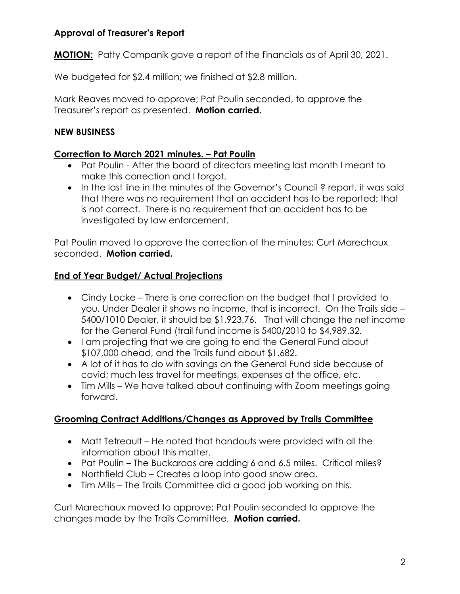## **Approval of Treasurer's Report**

**MOTION:** Patty Companik gave a report of the financials as of April 30, 2021.

We budgeted for \$2.4 million; we finished at \$2.8 million.

Mark Reaves moved to approve; Pat Poulin seconded, to approve the Treasurer's report as presented. **Motion carried.**

## **NEW BUSINESS**

## **Correction to March 2021 minutes. – Pat Poulin**

- Pat Poulin After the board of directors meeting last month I meant to make this correction and I forgot.
- In the last line in the minutes of the Governor's Council ? report, it was said that there was no requirement that an accident has to be reported; that is not correct. There is no requirement that an accident has to be investigated by law enforcement.

Pat Poulin moved to approve the correction of the minutes; Curt Marechaux seconded. **Motion carried.**

## **End of Year Budget/ Actual Projections**

- Cindy Locke There is one correction on the budget that I provided to you. Under Dealer it shows no income, that is incorrect. On the Trails side – 5400/1010 Dealer, it should be \$1,923.76. That will change the net income for the General Fund (trail fund income is 5400/2010 to \$4,989.32.
- I am projecting that we are going to end the General Fund about \$107,000 ahead, and the Trails fund about \$1.682.
- A lot of it has to do with savings on the General Fund side because of covid; much less travel for meetings, expenses at the office, etc.
- Tim Mills We have talked about continuing with Zoom meetings going forward.

## **Grooming Contract Additions/Changes as Approved by Trails Committee**

- Matt Tetreault He noted that handouts were provided with all the information about this matter.
- Pat Poulin The Buckaroos are adding 6 and 6.5 miles. Critical miles?
- Northfield Club Creates a loop into good snow area.
- Tim Mills The Trails Committee did a good job working on this.

Curt Marechaux moved to approve; Pat Poulin seconded to approve the changes made by the Trails Committee. **Motion carried.**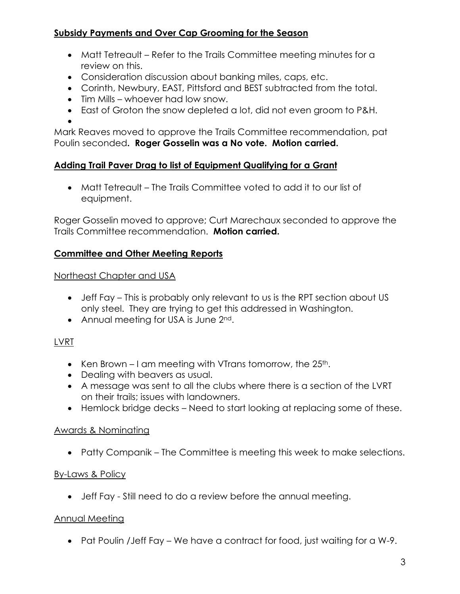## **Subsidy Payments and Over Cap Grooming for the Season**

- Matt Tetreault Refer to the Trails Committee meeting minutes for a review on this.
- Consideration discussion about banking miles, caps, etc.
- Corinth, Newbury, EAST, Pittsford and BEST subtracted from the total.
- Tim Mills whoever had low snow.
- East of Groton the snow depleted a lot, did not even groom to P&H.

•

Mark Reaves moved to approve the Trails Committee recommendation, pat Poulin seconded**. Roger Gosselin was a No vote. Motion carried.**

# **Adding Trail Paver Drag to list of Equipment Qualifying for a Grant**

• Matt Tetreault – The Trails Committee voted to add it to our list of equipment.

Roger Gosselin moved to approve; Curt Marechaux seconded to approve the Trails Committee recommendation. **Motion carried.**

## **Committee and Other Meeting Reports**

## Northeast Chapter and USA

- Jeff Fay This is probably only relevant to us is the RPT section about US only steel. They are trying to get this addressed in Washington.
- Annual meeting for USA is June 2<sup>nd</sup>.

# LVRT

- Ken Brown I am meeting with VTrans tomorrow, the  $25<sup>th</sup>$ .
- Dealing with beavers as usual.
- A message was sent to all the clubs where there is a section of the LVRT on their trails; issues with landowners.
- Hemlock bridge decks Need to start looking at replacing some of these.

# Awards & Nominating

• Patty Companik – The Committee is meeting this week to make selections.

# By-Laws & Policy

• Jeff Fay - Still need to do a review before the annual meeting.

## Annual Meeting

• Pat Poulin /Jeff Fay – We have a contract for food, just waiting for a W-9.